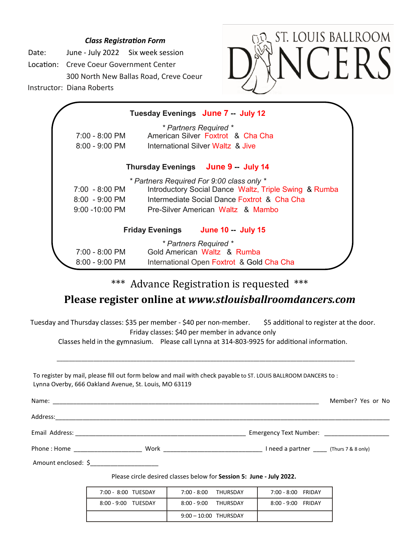#### *Class Registration Form*

Date: June - July 2022 Six week session Location: Creve Coeur Government Center 300 North New Ballas Road, Creve Coeur Instructor: Diana Roberts



|                                    | Tuesday Evenings June 7 -- July 12                    |
|------------------------------------|-------------------------------------------------------|
|                                    | * Partners Required *                                 |
| $7:00 - 8:00 \text{ PM}$           | American Silver Foxtrot & Cha Cha                     |
| $8:00 - 9:00$ PM                   | International Silver Waltz & Jive                     |
|                                    | Thursday Evenings June 9 -- July 14                   |
|                                    | * Partners Required For 9:00 class only *             |
| $7:00 - 8:00 \text{ PM}$           | Introductory Social Dance Waltz, Triple Swing & Rumba |
| $8:00 - 9:00 \text{ PM}$           | Intermediate Social Dance Foxtrot & Cha Cha           |
| $9:00 - 10:00$ PM                  | Pre-Silver American Waltz & Mambo                     |
| Friday Evenings June 10 -- July 15 |                                                       |
|                                    | * Partners Required *                                 |
| 7:00 - 8:00 PM                     | Gold American Waltz & Rumba                           |
| $8:00 - 9:00$ PM                   | International Open Foxtrot & Gold Cha Cha             |

\*\*\* Advance Registration is requested \*\*\*

# **Please register online at** *www.stlouisballroomdancers.com*

Tuesday and Thursday classes: \$35 per member - \$40 per non-member. \$5 additional to register at the door. Friday classes: \$40 per member in advance only

Classes held in the gymnasium. Please call Lynna at 314-803-9925 for additional information.

\_\_\_\_\_\_\_\_\_\_\_\_\_\_\_\_\_\_\_\_\_\_\_\_\_\_\_\_\_\_\_\_\_\_\_\_\_\_\_\_\_\_\_\_\_\_\_\_\_\_\_\_\_\_\_\_\_\_\_\_\_\_\_\_\_\_\_\_\_\_\_\_\_\_\_\_\_\_\_\_\_\_\_\_\_\_\_\_\_\_\_\_\_\_\_\_\_

To register by mail, please fill out form below and mail with check payable to ST. LOUIS BALLROOM DANCERS to : Lynna Overby, 666 Oakland Avenue, St. Louis, MO 63119

 Name: \_\_\_\_\_\_\_\_\_\_\_\_\_\_\_\_\_\_\_\_\_\_\_\_\_\_\_\_\_\_\_\_\_\_\_\_\_\_\_\_\_\_\_\_\_\_\_\_\_\_\_\_\_\_\_\_\_\_\_\_\_\_\_\_\_\_\_\_\_\_\_\_\_\_\_\_\_\_ Member? Yes or No Address:\_\_\_\_\_\_\_\_\_\_\_\_\_\_\_\_\_\_\_\_\_\_\_\_\_\_\_\_\_\_\_\_\_\_\_\_\_\_\_\_\_\_\_\_\_\_\_\_\_\_\_\_\_\_\_\_\_\_\_\_\_\_\_\_\_\_\_\_\_\_\_\_\_\_\_\_\_\_\_\_\_\_\_\_\_\_\_\_\_\_\_\_\_\_\_\_\_\_ Email Address: \_\_\_\_\_\_\_\_\_\_\_\_\_\_\_\_\_\_\_\_\_\_\_\_\_\_\_\_\_\_\_\_\_\_\_\_\_\_\_\_\_\_\_\_\_\_\_\_\_\_ Emergency Text Number: \_\_\_\_\_\_\_\_\_\_\_\_\_\_\_\_\_\_\_ Phone : Home \_\_\_\_\_\_\_\_\_\_\_\_\_\_\_\_\_\_\_\_ Work \_\_\_\_\_\_\_\_\_\_\_\_\_\_\_\_\_\_\_\_\_\_\_\_\_\_\_\_\_ I need a partner \_\_\_\_ (Thurs 7 & 8 only) Amount enclosed: \$\_\_\_\_\_\_\_\_\_\_\_\_\_\_\_\_\_\_\_\_ Please circle desired classes below for **Session 5: June - July 2022.** 7:00 - 8:00 TUESDAY 7:00 - 8:00 THURSDAY 7:00 - 8:00 FRIDAY 8:00 - 9:00 TUESDAY 8:00 - 9:00 THURSDAY 8:00 - 9:00 FRIDAY 9:00 – 10:00 THURSDAY